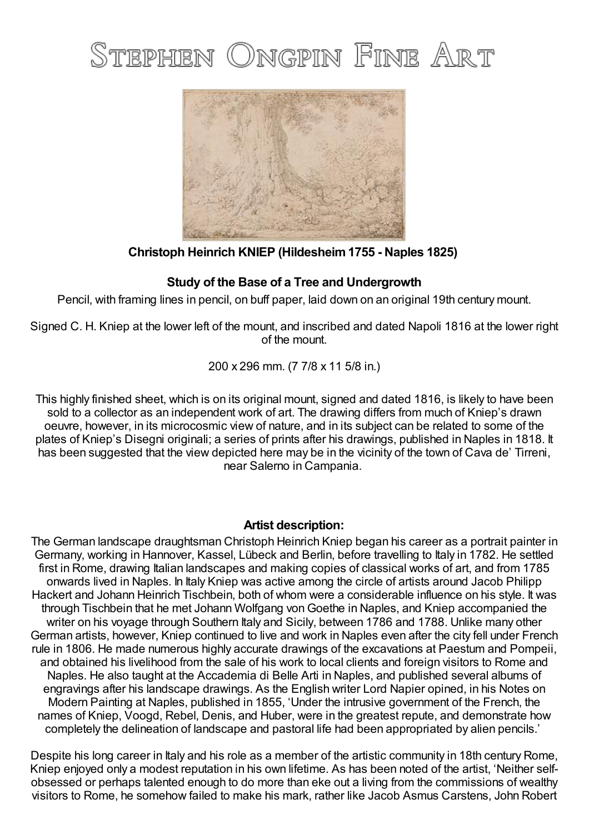# STEPHEN ONGPIN FINE ART



### **Christoph Heinrich KNIEP (Hildesheim1755 - Naples 1825)**

## **Study of the Base of a Tree and Undergrowth**

Pencil, with framing lines in pencil, on buff paper, laid down on an original 19th century mount.

Signed C. H. Kniep at the lower left of the mount, and inscribed and dated Napoli 1816 at the lower right of the mount.

#### 200 x 296 mm. (7 7/8 x 11 5/8 in.)

This highly finished sheet, which is on its original mount, signed and dated 1816, is likely to have been sold to a collector as an independent work of art. The drawing differs from much of Kniep's drawn oeuvre, however, in its microcosmic view of nature, and in its subject can be related to some of the plates of Kniep's Disegni originali; a series of prints after his drawings, published in Naples in 1818. It has been suggested that the view depicted here may be in the vicinity of the town of Cava de' Tirreni, near Salerno in Campania.

#### **Artist description:**

The German landscape draughtsman Christoph Heinrich Kniep began his career as a portrait painter in Germany, working in Hannover, Kassel, Lübeck and Berlin, before travelling to Italy in 1782. He settled first in Rome, drawing Italian landscapes and making copies of classical works of art, and from 1785 onwards lived in Naples. In Italy Kniep was active among the circle of artists around Jacob Philipp Hackert and Johann Heinrich Tischbein, both of whom were a considerable influence on his style. It was through Tischbein that he met Johann Wolfgang von Goethe in Naples, and Kniep accompanied the writer on his voyage through Southern Italy and Sicily, between 1786 and 1788. Unlike many other German artists, however, Kniep continued to live and work in Naples even after the city fell under French rule in 1806. He made numerous highly accurate drawings of the excavations at Paestum and Pompeii, and obtained his livelihood from the sale of his work to local clients and foreign visitors to Rome and Naples. He also taught at the Accademia di Belle Arti in Naples, and published several albums of engravings after his landscape drawings. As the English writer Lord Napier opined, in his Notes on Modern Painting at Naples, published in 1855, 'Under the intrusive government of the French, the names of Kniep, Voogd, Rebel, Denis, and Huber, were in the greatest repute, and demonstrate how completely the delineation of landscape and pastoral life had been appropriated by alien pencils.'

Despite his long career in Italy and his role as a member of the artistic community in 18th century Rome, Kniep enjoyed only a modest reputation in his own lifetime. As has been noted of the artist, 'Neither selfobsessed or perhaps talented enough to do more than eke out a living from the commissions of wealthy visitors to Rome, he somehow failed to make his mark, rather like Jacob Asmus Carstens, John Robert